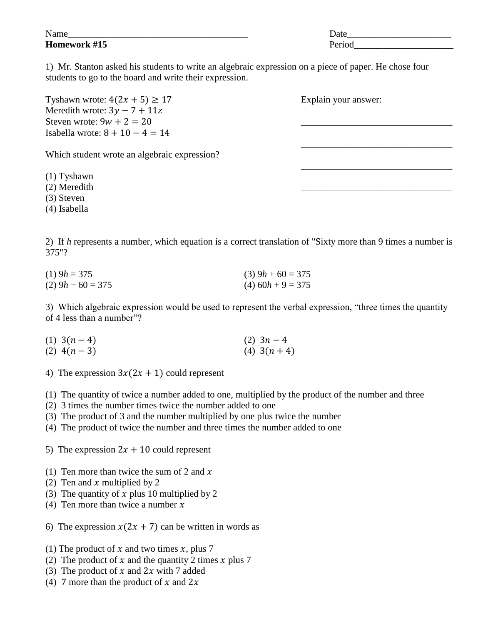| $\mathbf{r}$<br>Name | Date         |
|----------------------|--------------|
| Homework #15         | $\mathbf{D}$ |

1) Mr. Stanton asked his students to write an algebraic expression on a piece of paper. He chose four students to go to the board and write their expression.

| Tyshawn wrote: $4(2x + 5) \ge 17$            | Explain your answer: |
|----------------------------------------------|----------------------|
| Meredith wrote: $3y - 7 + 11z$               |                      |
| Steven wrote: $9w + 2 = 20$                  |                      |
| Isabella wrote: $8 + 10 - 4 = 14$            |                      |
| Which student wrote an algebraic expression? |                      |
| $(1)$ Tyshawn                                |                      |
| (2) Meredith                                 |                      |
| $(3)$ Steven                                 |                      |
|                                              |                      |

(4) Isabella

2) If *h* represents a number, which equation is a correct translation of "Sixty more than 9 times a number is 375"?

| $(1)$ 9h = 375      | $(3)$ 9h + 60 = 375 |
|---------------------|---------------------|
| $(2)$ 9h – 60 = 375 | $(4)$ 60h + 9 = 375 |

3) Which algebraic expression would be used to represent the verbal expression, "three times the quantity of 4 less than a number"?

- (1)  $3(n-4)$  (2)  $3n-4$ (2)  $4(n-3)$  (4)  $3(n+4)$
- 4) The expression  $3x(2x + 1)$  could represent

(1) The quantity of twice a number added to one, multiplied by the product of the number and three

- (2) 3 times the number times twice the number added to one
- (3) The product of 3 and the number multiplied by one plus twice the number
- (4) The product of twice the number and three times the number added to one

5) The expression  $2x + 10$  could represent

- (1) Ten more than twice the sum of 2 and  $x$
- (2) Ten and x multiplied by 2
- (3) The quantity of x plus 10 multiplied by 2
- (4) Ten more than twice a number  $x$
- 6) The expression  $x(2x + 7)$  can be written in words as
- (1) The product of x and two times x, plus 7
- (2) The product of x and the quantity 2 times x plus 7
- (3) The product of x and  $2x$  with 7 added
- (4) 7 more than the product of x and  $2x$